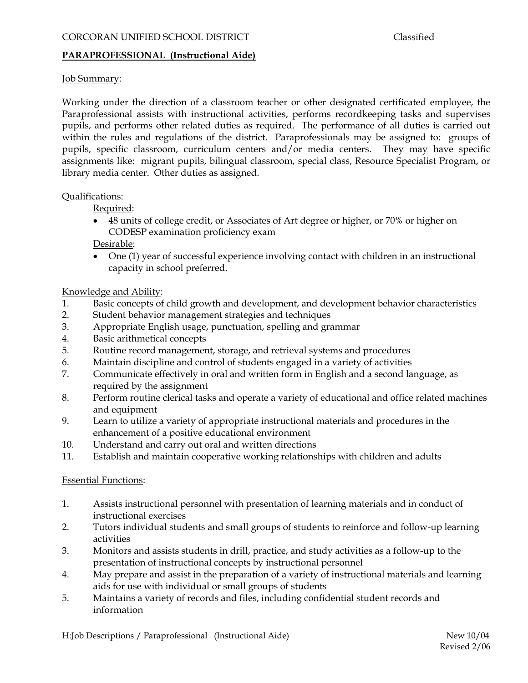# **PARAPROFESSIONAL (Instructional Aide)**

# Job Summary:

Working under the direction of a classroom teacher or other designated certificated employee, the Paraprofessional assists with instructional activities, performs recordkeeping tasks and supervises pupils, and performs other related duties as required. The performance of all duties is carried out within the rules and regulations of the district. Paraprofessionals may be assigned to: groups of pupils, specific classroom, curriculum centers and/or media centers. They may have specific assignments like: migrant pupils, bilingual classroom, special class, Resource Specialist Program, or library media center. Other duties as assigned.

## Qualifications:

Required:

• 48 units of college credit, or Associates of Art degree or higher, or 70% or higher on CODESP examination proficiency exam

Desirable:

• One (1) year of successful experience involving contact with children in an instructional capacity in school preferred.

# Knowledge and Ability:

- 1. Basic concepts of child growth and development, and development behavior characteristics
- 2. Student behavior management strategies and techniques
- 3. Appropriate English usage, punctuation, spelling and grammar
- 4. Basic arithmetical concepts
- 5. Routine record management, storage, and retrieval systems and procedures
- 6. Maintain discipline and control of students engaged in a variety of activities
- 7. Communicate effectively in oral and written form in English and a second language, as required by the assignment
- 8. Perform routine clerical tasks and operate a variety of educational and office related machines and equipment
- 9. Learn to utilize a variety of appropriate instructional materials and procedures in the enhancement of a positive educational environment
- 10. Understand and carry out oral and written directions
- 11. Establish and maintain cooperative working relationships with children and adults

## Essential Functions:

- 1. Assists instructional personnel with presentation of learning materials and in conduct of instructional exercises
- 2. Tutors individual students and small groups of students to reinforce and follow-up learning activities
- 3. Monitors and assists students in drill, practice, and study activities as a follow-up to the presentation of instructional concepts by instructional personnel
- 4. May prepare and assist in the preparation of a variety of instructional materials and learning aids for use with individual or small groups of students
- 5. Maintains a variety of records and files, including confidential student records and information